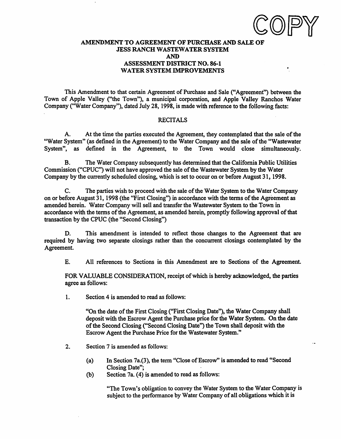### AMENDMENT TO AGREEMENT OF PURCHASE AND SALE OF JESS RANCH WASTEWATER SYSTEM AND ASSESSMENT DISTRICT NO. 86-1 WATER SYSTEM IMPROVEMENTS

This Amendment to that certain Agreement of Purchase and Sale ("Agreement'') between the Town of Apple Valley ("the Town"), a municipal corporation, and Apple Valley Ranchos Water Company ("Water Company"), dated July 28, 1998, is made with reference to the following facts:

#### RECITALS

A. At the time the parties executed the Agreement, they contemplated that the sale of the "Water System" (as defined in the Agreement) to the Water Company and the sale of the "Wastewater System", as defined in the Agreement, to the Town would close simultaneously.

B. The Water Company subsequently has determined that the California Public Utilities Commission ("CPUC") will not have approved the sale of the Wastewater System by the Water Company by the currently scheduled closing, which is set to occur on or before August 31, 1998.

C. The parties wish to proceed with the sale of the Water System to the Water Company on or before August 31, 1998 (the "First Closing") in accordance with the tenns of the Agreement as amended herein. Water Company will sell and transfer the Wastewater System to the Town in accordance with the terms of the Agreement, as amended herein, promptly following approval of that transaction by the CPUC (the "Second Closing")

D. This amendment is intended to reflect those changes to the Agreement that are required by having two separate closings rather than the concurrent closings contemplated by the Agreement.

E. All references to Sections in this Amendment are to Sections of the Agreement.

FOR VALUABLE CONSIDERATION, receipt of which is hereby acknowledged, the parties agree as follows:

1. Section 4 is amended to read as follows:

"On the date of the First Closing ("First Closing Date"), the Water Company shall deposit with the Escrow Agent the Purchase price for the Water System. On the date of the Second Closing ("Second Closing Date") the Town shall deposit with the Escrow Agent the Purchase Price for the Wastewater System."

- 2. Section 7 is amended as follows:
	- (a) In Section 7a.(3), the term "Close of Escrow" is amended to read "Second Closing Date";
	- (b) Section 7a.  $(4)$  is amended to read as follows:

"The Town's obligation to convey the Water System to the Water Company is subject to the performance by Water Company of all obligations which it is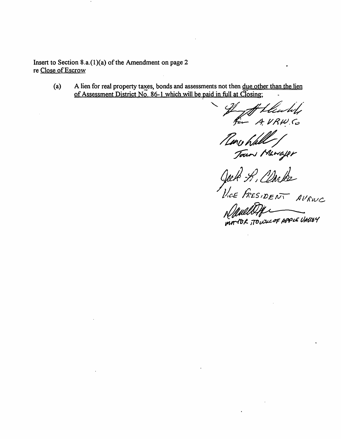Insert to Section 8.a.{l){a) of the Amendment on page 2 re Close of Escrow

> (a) A lien for real property taxes, bonds and assessments not then <u>due other than the lien</u> of Assessment District No. 86-1 which will be paid in full at  $\overline{C}$ losing;

If theuley /..J; // *I? ft!.* <:,

~~/ ~ */Yft,/;</'Yf;-*

Jack S. Clarke *J!t.~E fi.£S,l),EN\ AilfriVC..* 

Newell Die mortOR, TOUSICOF APPLE UALLEY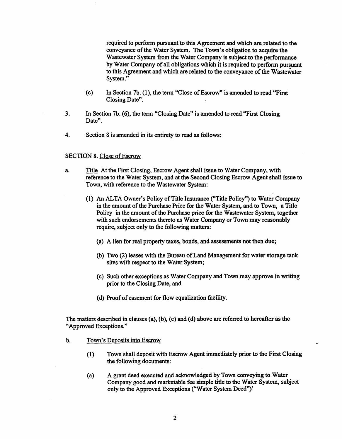required to perform pursuant to this Agreement and which are related to the conveyance of the Water System. The Town's obligation to acquire the Wastewater System from the Water Company is subject to the performance by Water Company of all obligations which it is required to perform pursuant to this Agreement and which are related to the conveyance of the Wastewater System."

- ( c) In Section 7b. ( 1 ), the term "Close of Escrow" is amended to read "First Closing Date".
- 3. In Section 7b. ( 6), the term "Closing Date" is amended to read "First Closing Date".
- 4. Section 8 is amended in its entirety to read as follows:

### SECTION 8. Close of Escrow

- a. Title At the First Closing, Escrow Agent shall issue to Water Company, with reference to the Water System, and at the Second Closing Escrow Agent shall issue to Town, with reference to the Wastewater System:
	- (1) An ALTA Owner's Policy of Title Insurance ("Title Policy'') to Water Company in the amount of the Purchase Price for the Water System, and to Town, a Title Policy in the amount of the Purchase price for the Wastewater System, together with such endorsements thereto as Water Company or Town may reasonably require, subject only to the following matters:
		- (a) A lien for real property taxes, bonds, and assessments not then due;
		- (b) Two (2) leases with the Bureau of Land Management for water storage tank sites with respect to the Water System;
		- ( c) Such other exceptions as Water Company and Town may approve in writing prior to the Closing Date, and
		- ( d) Proof of easement for flow equalization facility.

The matters described in clauses (a), (b), (c) and (d) above are referred to hereafter as the "Approved Exceptions."

- b. Town's Deposits into Escrow
	- ( 1) Town shall deposit with Escrow Agent immediately prior to the First Closing the following documents:
	- (a) A grant deed executed and acknowledged by Town conveying to Water Company good and marketable fee simple title to the Water System, subject only to the Approved Exceptions ("Water System Deed")'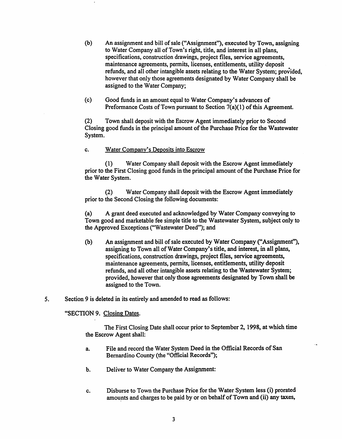- (b) An assignment and bill of sale ("Assignment"), executed by Town, assigning to Water Company all of Town's right, title, and interest in all plans, specifications, construction drawings, project files, service agreements, maintenance agreements, pennits, licenses, entitlements, utility deposit refunds, and all other intangible assets relating to the Water System; provided, however that only those agreements designated by Water Company shall be assigned to the Water Company;
- (c) Good funds in an amount equal to Water Company's advances of Preformance Costs of Town pursuant to Section 7(a)(1) of this Agreement.

(2) Town shall deposit with the Escrow Agent immediately prior to Second Closing good funds in the principal amount of the Purchase Price for the Wastewater System.

c. Water Company's Deposits into Escrow

(1) Water Company shall deposit with the Escrow Agent immediately prior to the First Closing good funds in the principal amount of the Purchase Price for the Water System.

(2) Water Company shall deposit with the Escrow Agent immediately prior to the Second Closing the following documents:

(a) A grant deed executed and acknowledged by Water Company conveying to Town good and marketable fee simple title to the Wastewater System, subject only to the Approved Exceptions ("Wastewater Deed"); and

- (b) An assignment and bill of sale executed by Water Company ("Assignment''), assigning to Town all of Water Company's title, and interest, in all plans, specifications, construction drawings, project files, service agreements, maintenance agreements, pennits, licenses, entitlements, utility deposit refunds, and all other intangible assets relating to the Wastewater System; provided, however that only those agreements designated by Town shall be assigned to the Town.
- *5.* Section 9 is deleted in its entirely and amended to read as follows:

"SECTION 9. Closing Dates.

The First Closing Date shall occur prior to September 2, 1998, at which time the Escrow Agent shall:

- a. File and record the Water System Deed in the Official Records of San Bernardino County (the "Official Records");
- b. Deliver to Water Company the Assignment:
- c. Disburse to Town the Purchase Price for the Water System less (i) prorated amounts and charges to be paid by or on behalf of Town and (ii) any taxes,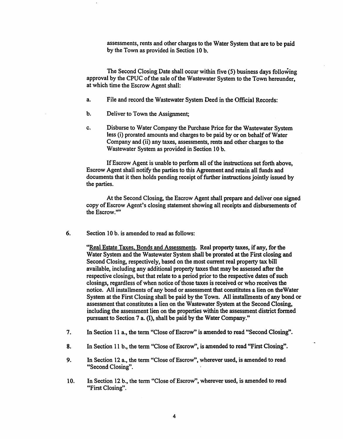assessments, rents and other charges to the Water System that are to be paid by the Town as provided in Section 10 b.

The Second Closing Date shall occur within five (S) business days following approval by the CPUC of the sale of the Wastewater System to the Town hereunder, at which time the Escrow Agent shall:

- a. File and record the Wastewater System Deed in the Official Records:
- b. Deliver to Town the Assignment;
- c. Disburse to Water Company the Purchase Price for the Wastewater System less (i) prorated amounts and charges to be paid by or on behalf of Water Company and (ii) any taxes, assessments, rents and other charges to the Wastewater System as provided in Section 10 b.

If Escrow Agent is unable to perform all of the instructions set forth above, Escrow Agent shall notify the parties to this Agreement and retain all funds and documents that it then holds pending receipt of further instructions jointly issued by the parties.

At the Second Closing, the Escrow Agent shall prepare and deliver one signed copy of Escrow Agent's closing statement showing all receipts and disbursements of the Escrow.""

6. Section 10 b. is amended to read as follows:

"Real Estate Taxes, Bonds and Assessments. Real property taxes, if any, for the Water System and the Wastewater System shall be prorated at the First closing and Second Closing, respectively, based on the most current real property tax bill available, including any additional property taxes that may be assessed after the respective closings, but that relate to a period prior to the respective dates of such closings, regardless of when notice of those taxes is received or who receives the notice. All installments of any bond or assessment that constitutes a lien on the Water System at the First Closing shall be paid by the Town. All installments of any bond or assessment that constitutes a lien on the Wastewater System at the Second Closing, including the assessment lien on the properties within the assessment district formed pursuant to Section 7 a. {I), shall be paid by the Water Company."

- 7. In Section 11 a., the term "Close of Escrow" is amended to read "Second Closing".
- 8. In Section 11 b., the term "Close of Escrow", is amended to read "First Closing".
- 9. In Section 12 a., the term "Close of Escrow", wherever used, is amended to read "Second Closing".
- 10. In Section 12 b., the term "Close of Escrow", wherever used, is amended to read "First Closing".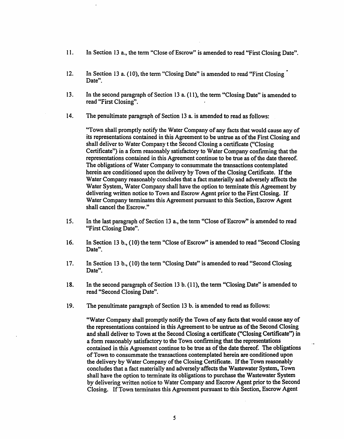- 11. In Section 13 a., the term "Close of Escrow" is amended to read "First Closing Date".
- 12. In Section 13 a. (10), the term "Closing Date" is amended to read "First Closing" Date".
- 13. In the second paragraph of Section 13 a. ( 11 ), the term "Closing Date" is amended to read "First Closing".
- 14. The penultimate paragraph of Section 13 a. is amended to read as follows:

"Town shall promptly notify the Water Company of any facts that would cause any of its representations contained in this Agreement to be untrue as of the First Closing and shall deliver to Water Company t the Second Closing a certificate ("Closing Certificate") in a form reasonably satisfactory to Water Company confirming that the representations contained in this Agreement continue to be true as of the date thereof. The obligations of Water Company to consummate the transactions contemplated herein are conditioned upon the delivery by Town of the Closing Certificate. If the Water Company reasonably concludes that a fact materially and adversely affects the Water System, Water Company shall have the option to terminate this Agreement by delivering written notice to Town and Escrow Agent prior to the First Closing. If Water Company terminates this Agreement pursuant to this Section, Escrow Agent shall cancel the Escrow."

- 15. In the last paragraph of Section 13 a., the term "Close of Escrow" is amended to read "First Closing Date".
- 16. In Section 13 b., (10) the term "Close of Escrow" is amended to read "Second Closing Date".
- 17. In Section 13 b., (10) the term "Closing Date" is amended to read "Second Closing Date".
- 18. In the second paragraph of Section 13 b. (11), the tenn "Closing Date" is amended to read "Second Closing Date".
- 19. The penultimate paragraph of Section 13 b. is amended to read as follows:

"Water Company shall promptly notify the Town of any facts that would cause any of the representations contained in this Agreement to be untrue as of the Second Closing and shall deliver to Town at the Second Closing a certificate ("Closing Certificate'') in a form reasonably satisfactory to the Town confinning that the representations contained in this Agreement continue to be true as of the date thereof. The obligations of Town to consummate the transactions contemplated herein are conditioned upon the delivery by Water Company of the Closing Certificate. If the Town reasonably concludes that a fact materially and adversely·affects the Wastewater System, Town shall have the option to terminate its obligations to purchase the Wastewater System by delivering written notice to Water Company and Escrow Agent prior to the Second Closing. If Town terminates this Agreement pursuant to this Section, Escrow Agent

 $\ddot{\phantom{a}}$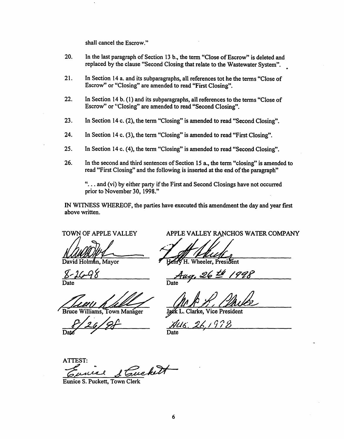shall cancel the Escrow."

- 20. In the last paragraph of Section 13 b., the term "Close of Escrow" is deleted and replaced by the clause "Second Closing that relate to the Wastewater System".
- 21. In Section 14 a. and its subparagraphs, all references tot he the terms "Close of Escrow" or "Closing" are amended to read "First Closing".
- 22. In Section 14 b. (1) and its subparagraphs, all references to the terms "Close of Escrow" or "Closing" are amended to read "Second Closing".
- 23. In Section 14 c. (2), the tenn "Closing" is amended to read "Second Closing".
- 24. In Section 14 c. (3), the term "Closing" is amended to read "First Closing".
- 25. In Section 14 c. (4), the term "Closing" is amended to read "Second Closing".
- 26. In the second and third sentences of Section 15 a., the term "closing" is amended to read "First Closing" and the following is inserted at the end of the paragraph"

"... and (vi) by either party if the First and Second Closings have not occurred prior to November 30, 1998."

IN WI'INESS WHEREOF, the parties have executed this amendment the day and year first above written.

TOWN OF APPLE VALLEY

David Holman, Mayor

Date

Date Date Date Date

 $\frac{8}{20}/26$ 

APPLE VALLEY RANCHOS WATER COMPANY

heeler. President

J

 $\langle$  ,  $97$ Date

ATTEST: ATTEST:<br>Curiel S. Cuckett

Eunice S. Puckett, Town Clerk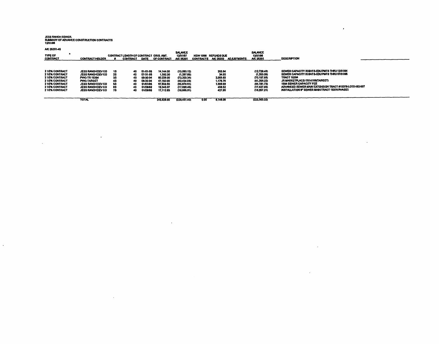JESS RANCH SEWER,<br>SUMMARY OF ADVANCE CONSTRUCTION CONTRACTS<br>12/31/98

 $\label{eq:2.1} \frac{1}{2} \sum_{i=1}^n \frac{1}{2} \sum_{j=1}^n \frac{1}{2} \sum_{j=1}^n \frac{1}{2} \sum_{j=1}^n \frac{1}{2} \sum_{j=1}^n \frac{1}{2} \sum_{j=1}^n \frac{1}{2} \sum_{j=1}^n \frac{1}{2} \sum_{j=1}^n \frac{1}{2} \sum_{j=1}^n \frac{1}{2} \sum_{j=1}^n \frac{1}{2} \sum_{j=1}^n \frac{1}{2} \sum_{j=1}^n \frac{1}{2} \sum_{j=1}^n \frac{$ 

 $\mathcal{L}(\mathcal{L}(\mathcal{L}))$  and  $\mathcal{L}(\mathcal{L}(\mathcal{L}))$  . The contribution of  $\mathcal{L}(\mathcal{L})$ 

AC 25201-46

 $\sim 1000$ 

| <b>TYPE OF</b><br><b>CONTRACT</b>                                                                                          | <b>CONTRACT HOLDER</b>                                                                                                                                                               |                                        | CONTRACT LENGTH OF CONTRACT ORIG. AMT.<br><b>CONTRACT</b> | DATE                                                                             | <b>CF CONTRACT</b>                                                                     | <b>BALANCE</b><br>12/31/97<br>A/C 25201                                                              |      | NEW 1998 REFUNDS DUE<br>CONTRACTS A/C 25202                             | <b>ADJUSTMENTS</b> | <b>BALANCE</b><br>12/31/08<br><b>A/C 25201</b>                                                          | <b>DESCRIPTION</b>                                                                                                                                                                                                                                                                       |  |
|----------------------------------------------------------------------------------------------------------------------------|--------------------------------------------------------------------------------------------------------------------------------------------------------------------------------------|----------------------------------------|-----------------------------------------------------------|----------------------------------------------------------------------------------|----------------------------------------------------------------------------------------|------------------------------------------------------------------------------------------------------|------|-------------------------------------------------------------------------|--------------------|---------------------------------------------------------------------------------------------------------|------------------------------------------------------------------------------------------------------------------------------------------------------------------------------------------------------------------------------------------------------------------------------------------|--|
| 21/2% CONTRACT<br>21/2% CONTRACT<br>21/2% CONTRACT<br>21/2% CONTRACT<br>21/2% CONTRACT<br>21/2% CONTRACT<br>21/2% CONTRACT | <b>JESS RANCH DEV CO</b><br><b>JESS RANCH DEV CO</b><br><b>PWC-TR 15394</b><br><b>PWC-TARGET</b><br><b>JESS RANCH DEV CO</b><br><b>JESS RANCH DEV CO</b><br><b>JESS RANCH DEV CO</b> | 1S<br>25<br>35<br>48<br>65<br>69<br>78 | 40.<br>40<br>40.<br>40<br>40<br>40<br>40                  | 01-01-95<br>07-31-05<br>09-30-94<br>08-30-94<br>01/01/25<br>01/28/95<br>01/28/98 | 14.144.00<br>1,392.30<br>80.226.00<br>47.150.00<br>87,659.60<br>18,345.07<br>17,112.83 | (13,003.12)<br>(1.287.88)<br>(72.203.34)<br>(42.434.93)<br>(85,970.61)<br>(17.889.48)<br>(16.686.01) |      | 353.64<br>34.80<br>2,005.68<br>1,178.76<br>1,689.69<br>450.52<br>427.00 |                    | (12.729 A)<br>(1,253.09)<br>(70, 107, 65)<br>(41.255.22)<br>(84, 101, 73)<br>(17.427.93)<br>(16.267.21) | SEWER CAPACITY RIGHTS-EDUPMTS THRU 12/31/94<br>SEWER CAPACITY RIGHTS-EDUPMTS THRU07/31/96<br><b>TRACT 16394</b><br>JR MARKETPLACE-TR14188/TARGET)<br>1994 SEWER CAPACITY FEE<br>ADVANCED SEWER MAIN EXTENSION TRACT #15376-LOTS 482-607<br>INSTALLATION B" SEWER MAIN TRACT 15376 PHASE! |  |
|                                                                                                                            | <b>TOTAL</b>                                                                                                                                                                         |                                        |                                                           |                                                                                  | 245,929.00                                                                             | (229.451.40)                                                                                         | 0.00 | 8.148.06                                                                |                    | (223.303.32)                                                                                            |                                                                                                                                                                                                                                                                                          |  |

 $\sim 100$ 

 $\sim$ 

 $\sim 100$ 

 $\sim 10^{-10}$ 

 $\mathcal{L}^{\text{max}}(\mathbf{r},\mathbf{r})$  .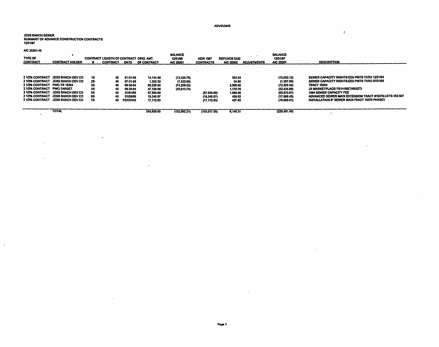#### ADVSUM45

 $\overline{\mathcal{L}}$ 

 $\sim$ 

 $\sim$ 

 $\mathcal{L}$ 

# JESS RANCH SEWER.<br>SUMMARY OF ADVANCE CONSTRUCTION CONTRACTS<br>12/31/97

 $\ddot{\phantom{a}}$ 

 $\sim$   $\sim$ 

 $\mathbf{r}$ 

A/C 25201-45

 $\sim$ 

 $\mathcal{A}$ 

| <b>TYPE OF</b><br><b>CONTRACT</b>                        | <b>CONTRACT HOLDER</b>                                                                                                                                                                |                                         | <b>CONTRACT LENGTH OF CONTRACT ORIG. AMT.</b><br><b>CONTRACT</b> | DATE                                                                                   | OF CONTRACT                                                                            | <b>BALANCE</b><br>12/31/96<br>A/C 25201                    | <b>NEW 1997</b><br><b>CONTRACTS</b>       | <b>REFUNDS DUE</b><br>A/C 25202                                         | <b>ADJUSTMENTS</b> | <b>BALANCE</b><br>12/31/97<br><b>A/C 25201</b>                                                          | <b>DESCRIPTION</b>                                                                                                                                                                                                                                                                                |
|----------------------------------------------------------|---------------------------------------------------------------------------------------------------------------------------------------------------------------------------------------|-----------------------------------------|------------------------------------------------------------------|----------------------------------------------------------------------------------------|----------------------------------------------------------------------------------------|------------------------------------------------------------|-------------------------------------------|-------------------------------------------------------------------------|--------------------|---------------------------------------------------------------------------------------------------------|---------------------------------------------------------------------------------------------------------------------------------------------------------------------------------------------------------------------------------------------------------------------------------------------------|
| 21/2% CONTRACT PWC-TR 15384<br>21/2% CONTRACT PWC-TARGET | 21/2% CONTRACT JESS RANCH DEV CO.<br>2 1/2% CONTRACT JESS RANCH DEV CO<br>2 1/2% CONTRACT JESS RANCH DEV CO<br>21/2% CONTRACT JESS RANCH DEV CO.<br>21/2% CONTRACT JESS RANCH DEV CO. | 19.<br>28<br>38<br>45<br>55<br>69<br>78 | 40<br>40<br>40<br>40<br>40<br>40<br>40                           | 01-01-95<br>07-31-95<br>09-30-94<br>08-30-84<br>01/01/95<br>01/28/98<br><b>PENDING</b> | 14.144.00<br>1.392.30<br>60.226.00<br>47.150.00<br>67,559.60<br>18.345.07<br>17.112.03 | (13.436.76)<br>(1,322.69)<br>(74, 209, 02)<br>(43, 613.74) | (67.559.60)<br>(18,345.07)<br>(17.112.83) | 353.64<br>34.60<br>2.005.68<br>1.170.76<br>1,588.99<br>458.62<br>427.82 |                    | (13.083.12)<br>(1, 287.89)<br>(72, 203.34)<br>(42, 434.98)<br>(65.870.61)<br>(17.886.45)<br>(16,685.01) | SEWER CAPACITY RIGHTS-EDU PMTS THRU 12/31/94<br>SEWER CAPACITY RIGHTS-EDU PMTS THRU 07/31/95<br><b>TRACT 15384</b><br><b>JR MARKETPLACE-TR14168(TARGET)</b><br>1994 SEWER CAPACITY FEE<br>ADVANCED SEWER MAIN EXTENSION TRACT #15376-LOTS 482-507<br>INSTALLATION & SEWER MAIN-TRACT 15376 PHASE! |
|                                                          | <b>TOTAL</b>                                                                                                                                                                          |                                         |                                                                  |                                                                                        | 245,929,80                                                                             | (132,582,21)                                               | (103.017.50)                              | 6,148.31                                                                |                    | (229, 451, 40)                                                                                          |                                                                                                                                                                                                                                                                                                   |

 $\cdot$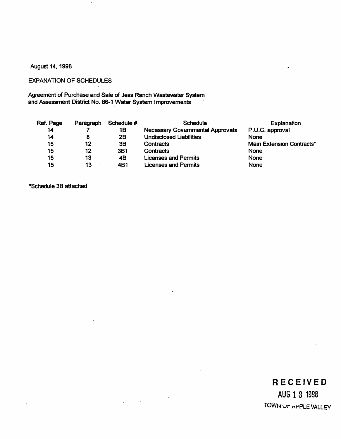### August 14, 1998

### EXPANATION OF SCHEDULES

Agreement of Purchase and Sale of Jess Ranch Wastewater System and Assessment District No. 86-1 Water System Improvements ·

| Ref. Page | Paragraph | Schedule # | <b>Schedule</b>                         | Explanation               |
|-----------|-----------|------------|-----------------------------------------|---------------------------|
| 14        |           | 1Β         | <b>Necessary Governmental Approvals</b> | P.U.C. approval           |
| 14        | 8         | 2B         | <b>Undisclosed Liabilities</b>          | None                      |
| 15        | 12        | 3B         | Contracts                               | Main Extension Contracts* |
| 15        | 12        | <b>3B1</b> | Contracts                               | <b>None</b>               |
| 15        | 13        | 4B         | <b>Licenses and Permits</b>             | <b>None</b>               |
| 15        | 13        | 4B1        | Licenses and Permits                    | None                      |

 $\bar{\phantom{a}}$ 

 $\mathcal{L}^{\text{max}}$  , where  $\mathcal{L}^{\text{max}}$ 

•schedule 38 attached

 $\Box$ 

### **RECEIVED**

 $\bullet$ 

AUG 18 1998 TOWN UP APPLE VALLEY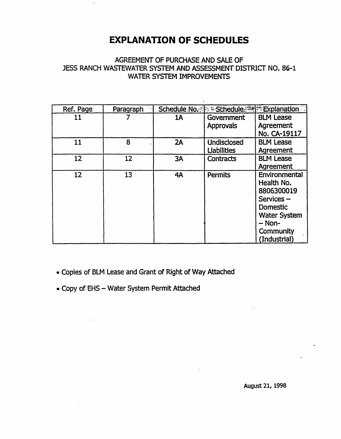## **EXPLANATION OF SCHEDULES**

### AGREEMENT OF PURCHASE AND SALE OF JESS RANCH WASTEWATER SYSTEM AND ASSESSMENT DISTRICT NO. 86-1 WATER SYSTEM IMPROVEMENTS

| Ref. Page         | Paragraph |    | Schedule No. Part Schedule 24 Explanation |                     |
|-------------------|-----------|----|-------------------------------------------|---------------------|
| 11                |           | 1A | Government                                | <b>BLM Lease</b>    |
|                   |           |    | <b>Approvals</b>                          | Agreement           |
|                   |           |    |                                           | No. CA-19117        |
| 11                | 8         | 2A | <b>Undisclosed</b>                        | <b>BLM Lease</b>    |
|                   |           |    | <b>Liabilities</b>                        | Agreement           |
| $12 \overline{ }$ | 12        | 3A | <b>Contracts</b>                          | <b>BLM Lease</b>    |
|                   |           |    |                                           | Agreement           |
| 12                | 13        | 4A | <b>Permits</b>                            | Environmental       |
|                   |           |    |                                           | Health No.          |
|                   |           |    |                                           | 8806300019          |
|                   |           |    |                                           | Services-           |
|                   |           |    |                                           | <b>Domestic</b>     |
|                   |           |    |                                           | <b>Water System</b> |
|                   |           |    |                                           | $-$ Non-            |
|                   |           |    |                                           | Community           |
|                   |           |    |                                           | (Industrial)        |

- Copies of BLM Lease and Grant of Right of Way Attached
- Copy of EHS Water System Permit Attached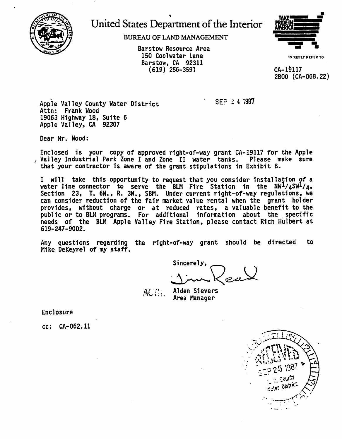

## United States Department of the Interior

BUREAU OF LAND MANAGEMENT

150 Coolwater Lane Barstow, CA 92311 ( 619) 256-3591



IN REPLY REFER TO

CA-19117 2800 {CA-068.22)

Apple Valley County Water District Attn: Frank Wood 19063 Highway 18, Suite 6 Apple Valley, CA 92307

Dear Mr. Wood:

Enclosed is your copy of approved right-of-way grant CA-19117 for the Apple Valley Industrial Park Zone I and Zone II water tanks. Please make sure that your contractor is aware of the grant stipulations in Exhibit 8.

I will take this opportunity to request that you consider installation of a water line connector to serve the BLM Fire Station in the  $\frac{N\mu_1}{4}$ SW<sup>1</sup>/4, Section 23, T. 6N., R. 3W., SBM. Under current right-of-way regulations, we Section 23, T. 6N., R. 3W., SBM. Under current right-of-way regulations, we<br>can consider reduction of the fair market value rental when the grant holder<br>provides, without charge or at reduced rates, a valuable benefit to t .<br>public or to BLM programs. For additional information about the specific<br>needs of the BLM Apple Valley Fire Station, please contact Rich Hulbert at 619-247-9002.

Any questions regarding the right-of-way grant should be directed to Mike DeKeyrel of my staff.

Sincerely,<br>11 Rece

 $SFD$  2 4  $1987$ 

Alden Sievers Area Manager

Enclosure

cc: CA-062.11

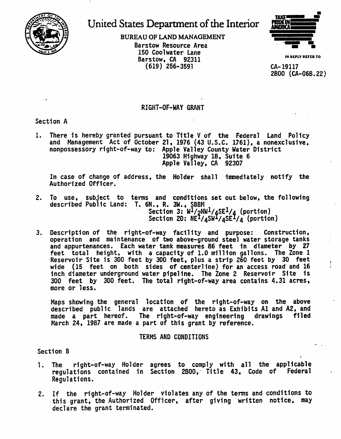

# United States Department of the Interior

BUREAU OF LAND MANAGEMENT Barstow Resource Area 150 Coolwater Lane Barstow, CA 92311 **IN REPLY**<br>(619) 256-3591 **CA-19117**  $(619)$  256-3591



2800 (CA-068.22)

### RIGHT-OF-WAY GRANT

Section A

1. There is hereby granted pursuant to Title V of the Federal Land Policy and Management Act of October 21, 1976 (43 U.S.C. 1761}, a nonexclusive, nonpossessory right-of-way to: Apple Valley County Water District 19063 Highway 18, Suite 6 Apple Valley, CA 92307

In case of change of address, the Holder shall 1nmed1ately notify the Authorized Officer.

- 2. To use, subject to terms and conditions set out below, the following described Public Land: T. 6N., R. 3W., SBBM Section 3: W<sup>1</sup>/2NW<sup>1</sup>/4SE<sup>1</sup>/4 (portion)<br>Section 20: NE<sup>1</sup>/4SW <sup>1</sup>/4SE <sup>1</sup>/4 (portion)
- 3. Description of the right-of-way facility and purpose: Construction,<br>operation and maintenance of two above-ground steel water storage tanks and appurtenances. Each water tank measures 86 feet in diameter by 27 feet total height, with a capacity of 1.0 million gallons. The Zone 1 Reservoir Site is 300 feet by 300 feet, plus a strip 260 feet by 30 feet wide (15 feet on both sides of centerline} for an access road and 16 inch diameter underground water pipeline. The Zone 2 Reservoir Site is 300 feet by 300 feet. The total right-of-way area contains 4.31 acres, more or less.

Maps showing the general location of the right-of-way on the above described public lands are attached hereto as Exhibits Al and A2. and made a part hereof. The right-of-way engineering drawings filed March 24, 1987 are made a part of this grant by reference.

### TERMS AND CONDITIONS

Section B

- 1. The right-of-way Holder agrees to comply with all the applicable<br>requlations contained in Section 2800. Title 43. Code of Federal regulations contained in Section 2800, Title 43, Code of Regulations.
- 2. If the right-of-way Holder violates any of the terms and conditions to this grant, the Authorized Officer, after giving written notice, may declare the grant terminated.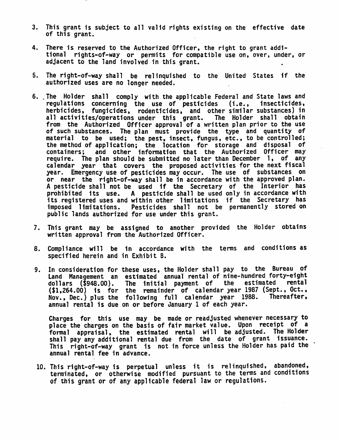- *3.* This grant is subject to all valid rights existing on the effective date of this grant.
- 4. There is reserved to the Authorized Officer, the right to grant addi-<br>tional rights-of-way or permits for compatible use on, over, under, or adjacent to the land involved in this grant.
- 5. The right-of-way shall be relinquished to the United States if the authorized uses are no longer needed.
- 6 •. The Holder shall comply with the applicable Federal and State laws and regulations concerning the use of pesticides (i.e., insecticides, herbicides, fungicides, rodent1cides, and other similar substances) in all activities/operations under this grant. The Holder shall obtain from the Authorized Officer approval of a written plan prior to the use of such substances. The plan must provide the type and quantity of material to be used; the pest, insect, fungus, etc., to be controlled; the method of application; the location for storage and disposal of containers; and other information that the Authorized Officer may require. The plan should be submitted no later than December 1, of any calendar year that covers the proposed activities for the next fiscal year. Emergency use of pesticides may occur. The use of substances on or near the right-of-way shall be in accordance with the approved plan.<br>A pesticide shall not be used if the Secretary of the Interior has prohibited its use. A pesticide shall be used only in accordance with its registered uses and within other limitations if the Secretary has imposed limitations. Pesticides shall not be permanently stored on public lands authorized for use under this grant.
- 7. This grant may be assigned to another provided the Holder obtains written approval from the Authorized Officer.
- 8. Compliance will be in accordance with the terms and conditions as specified herein and in Exhibit B.
- 9. In consideration for these uses, the Holder shall pay to the Bureau of<br>Land Management an estimated annual rental of nine-hundred forty-eight<br>dollars (\$948.00). The initial payment of the estimated rental The initial payment of (\$1,264.00) is for the remainder of calendar year 1987 (Sept., Oct., Nov., Dec.) plus the following full calendar year 1988. Thereafter, annual rental is due on or before January 1 of each year.

Charges for. this use may be made or readjusted whenever necessary to place the charges on the basis of fair market value. Upon receipt of a formal appraisal, the estimated rental will be adjusted. The Holder shall pay any additional rental due from the date of grant issuance. This right-of-way grant is not in force unless the Holder has paid the annual rental fee in advance.

10. This right-of-way is perpetual unless it is relinquished, abandoned, terminated, or otherwise modified pursuant to the terms and conditions of this grant or of any applicable federal law or regulations.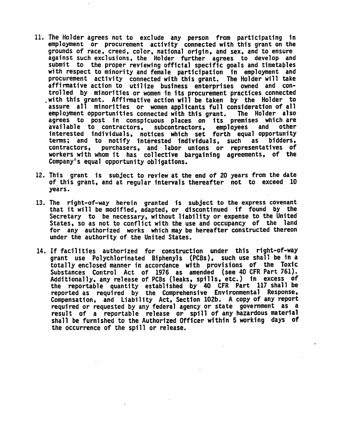- 11. The Holder agrees not to exclude any person from participating in employment or procurement activity connected with this grant on the grounds of race, creed, color, national origin, and sex, and to ensure<br>against such exclusions, the Holder further agrees to develop and submit to the proper reviewing official specific goals and timetables<br>with respect to minority and female participation in employment and with respect to minority and female participation in employment and<br>procurement activity connected with this grant. The Holder will take affinnative action to utilize business enterprises owned and controlled by minorities or women in its procurement practices connected with this grant. Affirmative action will be taken by the Holder to assure all minorities or women applicants full consideration of all<br>employment opportunities connected with this grant. The Holder also agrees to post in conspicuous places on its premises which are<br>available to contractors, subcontractors. employees and other interested individuals, notices which set forth equal opportunity<br>terms: and to notify interested individuals, such as bidders. terms; and to notify interested individuals, such<br>contractors, purchasers, and labor unions or repr purchasers, and labor unions or representatives of workers with whom it has collective bargaining agreements, of the Company's equal opportunity obligations.
- 12. This grant is subject to review at the end of 20 years from the date of this grant, and at reqular intervals thereafter not to exceed 10 years.
- 13. The right-of-way herein granted is subject to the express covenant that it will be modified, adapted, or discontinued if found by the Secretary to be necessary, without liability or expense to the United States, so as not to conflict with the use and occupancy of the land for any authorized works which may be hereafter constructed thereon under the authority of the United States.
- 14. If facilities authorized for construction under this right-of-way grant use Polychlorinated Biphenyls (PCBs), such use shall be in a totally enclosed manner in accordance with provisions of the Toxic Substances Control Act of 1976 as amended (see 40 CFR Part 761).<br>Additionally, any release of PCBs (leaks, spills, etc.) in excess of Additionally, any release of PCBs (leaks, spills, etc.) in excess of<br>the reportable quantity established by 40 CFR Part 117 shall be reported as required by the Comprehensive Environmental Response,<br>Compensation, and Liability Act, Section 102b. A copy of any report<br>required or requested by any federal agency or state government as a required or requested by any federal agency or state government as a result of a reportable release or spill of any hazardous material shall be furnished to the Authorized Officer within 5 working days of the occurrence of the spill or release.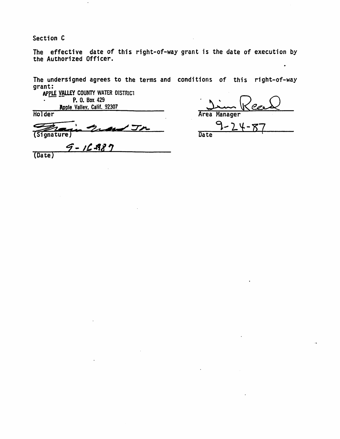Section C

**Holder** 

The effective date of this right-of-way grant is the date of execution by the Authorized Officer.

The undersigned agrees to the terms and conditions of this right-of-way grant:

APPLE VALLEY COUNTY WATER DISTRICT<br>P. 0. Box 429 Apple Valley, Calif. 92307

 $\overline{\phantom{a}}$ 

area Manager

 $\ddot{\phantom{0}}$ 

C (Signature)

 $9 - 16 - 98$ (Date)

 $\frac{9-24-87}{8}$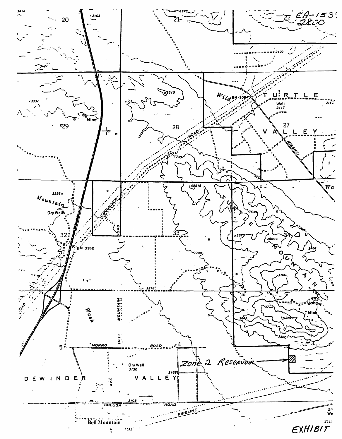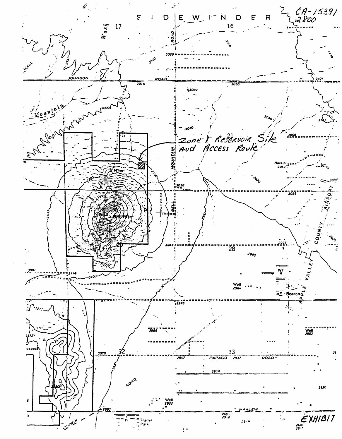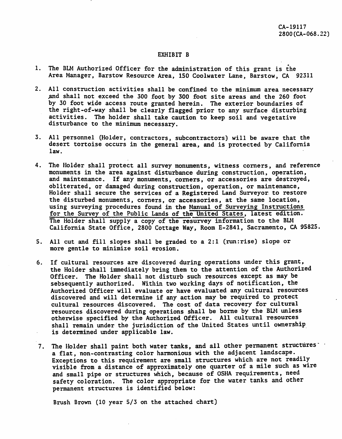#### EXHIBIT B

- 1. The BLM Authorized Officer for the administration of this grant is the Area Manager, Barstow Resource Area, 150 Coolwater Lane, Barstow, CA 92311
- 2. All construction activities shall be confined to the minimum area necessary .and shall not exceed the 300 foot by 300 foot site areas and the 260 foot by 30 foot wide access route granted herein. The exterior boundaries of the right-of-way shall be clearly flagged prior to any surface disturbing activities. The holder shall take caution to keep soil and vegetative disturbance to the minimum necessary.
- 3. All personnel (Holder, contractors, subcontractors) will be aware that the desert tortoise occurs in the general area, and is protected by California law.
- 4. The Holder shall protect all survey monwnents, witness comers, and reference monuments in the area against disturbance during construction, operation, and maintenance. If any monuments, corners, or accessories are destroyed, obliterated, or damaged during construction, operation, or maintenance, Holder shall secure the services of a Registered Land Surveyor. to restore the disturbed monuments, comers, or accessories, at the same location, using surveying procedures found in the Manual of Surveying Instructions for the Survey of the Public Lands of the United States, latest edition. The Holder shall supply a copy of the resurvey information to the BLM California State Office, 2800 Cottage Way, Room E-2841, Sacramento, CA 95825.
- S. All cut and fill slopes shall be graded to a 2:1 (run:rise) slope or more gentle to minimize soil erosion.
- 6. If cultural resources are discovered during operations under this grant, the Holder shall immediately bring them to the attention of the Authorized Officer. The Holder shall not disturb such resources except as may be sebsequently authorized. Within two working days of notification, the Authorized Officer will evaluate or have evaluated any cultural resources discovered and will determine if any action may be required to protect cultural resources discovered. The cost of data recovery for cultural resources discovered during operations shall be borne by the BLM unless otherwise specified by the Authorized Officer. All cultural resources shall remain under the jurisdiction of the United States until ownership is determined under applicable law.
- 7. The Holder shall paint both water tanks, and all other permanent structures : a flat, non-contrasting color harmonious with the adjacent landscape. Exceptions to this requirement are small structures which are not readily visible from a distance of approximately one quarter of a mile such as wire and small pipe or structures which, because of OSHA requirements, need safety coloration. The color appropriate for the water tanks and other permanent structures is identified below:

Brush Brown (10 year 5/3 on the attached chart)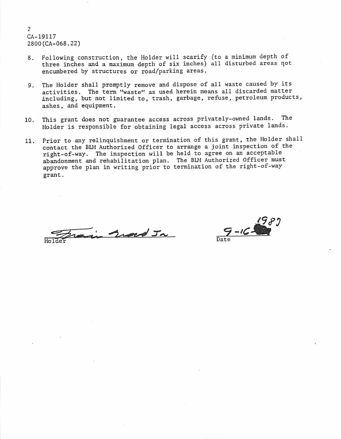2 CA-19117 2800(CA-068.22)

- 8. Following construction, the Holder will scarify (to a minimum depth of three inches and a maximum depth of six inches) all disturbed areas not encumbered by structures or road/parking areas.
- 9. The Holder shall promptly remove and dispose of all waste caused by its activities. The term "waste" as used herein means all discarded matter including, but not limited to, trash, garbage, refuse, petroleum products, ashes, and equipment.
- 10. This grant does not guarantee access across privately-owned lands. The Holder is responsible for obtaining legal access across private lands .
- 11. Prior to any relinquishment or termination of this grant, the Holder shall contact the BLM Authorized Officer to arrange a joint inspection of the right-of-way. The inspection will be held to agree on an acceptable abandonment and rehabilitation plan. The BLM Authorized Officer must approve the plan in writing prior to termination of the right-of-way grant.

 $Holder$ in sind Ja

,9 *t?:; 9-,c-lii* Date